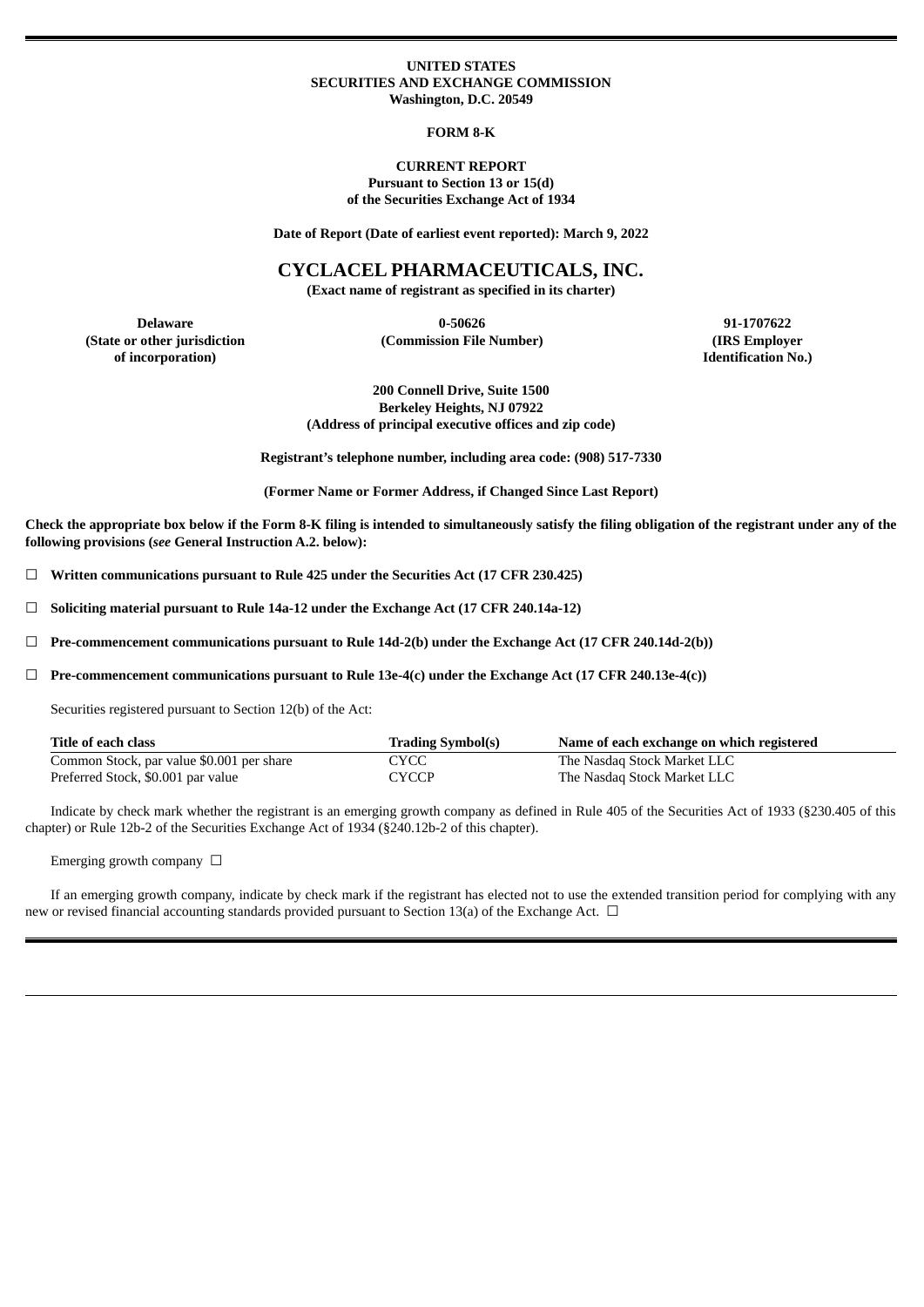### **UNITED STATES SECURITIES AND EXCHANGE COMMISSION Washington, D.C. 20549**

#### **FORM 8-K**

### **CURRENT REPORT Pursuant to Section 13 or 15(d) of the Securities Exchange Act of 1934**

**Date of Report (Date of earliest event reported): March 9, 2022**

### **CYCLACEL PHARMACEUTICALS, INC.**

**(Exact name of registrant as specified in its charter)**

**(State or other jurisdiction of incorporation)**

**Delaware 0-50626 91-1707622 (Commission File Number) (IRS Employer**

**Identification No.)**

**200 Connell Drive, Suite 1500 Berkeley Heights, NJ 07922 (Address of principal executive offices and zip code)**

**Registrant's telephone number, including area code: (908) 517-7330**

**(Former Name or Former Address, if Changed Since Last Report)**

Check the appropriate box below if the Form 8-K filing is intended to simultaneously satisfy the filing obligation of the registrant under any of the **following provisions (***see* **General Instruction A.2. below):**

☐ **Written communications pursuant to Rule 425 under the Securities Act (17 CFR 230.425)**

☐ **Soliciting material pursuant to Rule 14a-12 under the Exchange Act (17 CFR 240.14a-12)**

☐ **Pre-commencement communications pursuant to Rule 14d-2(b) under the Exchange Act (17 CFR 240.14d-2(b))**

☐ **Pre-commencement communications pursuant to Rule 13e-4(c) under the Exchange Act (17 CFR 240.13e-4(c))**

Securities registered pursuant to Section 12(b) of the Act:

| Title of each class                       | <b>Trading Symbol(s)</b> | Name of each exchange on which registered |
|-------------------------------------------|--------------------------|-------------------------------------------|
| Common Stock, par value \$0.001 per share | CYCC                     | The Nasdag Stock Market LLC               |
| Preferred Stock, \$0.001 par value        | CYCCP                    | The Nasdag Stock Market LLC               |

Indicate by check mark whether the registrant is an emerging growth company as defined in Rule 405 of the Securities Act of 1933 (§230.405 of this chapter) or Rule 12b-2 of the Securities Exchange Act of 1934 (§240.12b-2 of this chapter).

Emerging growth company  $\Box$ 

If an emerging growth company, indicate by check mark if the registrant has elected not to use the extended transition period for complying with any new or revised financial accounting standards provided pursuant to Section 13(a) of the Exchange Act.  $\Box$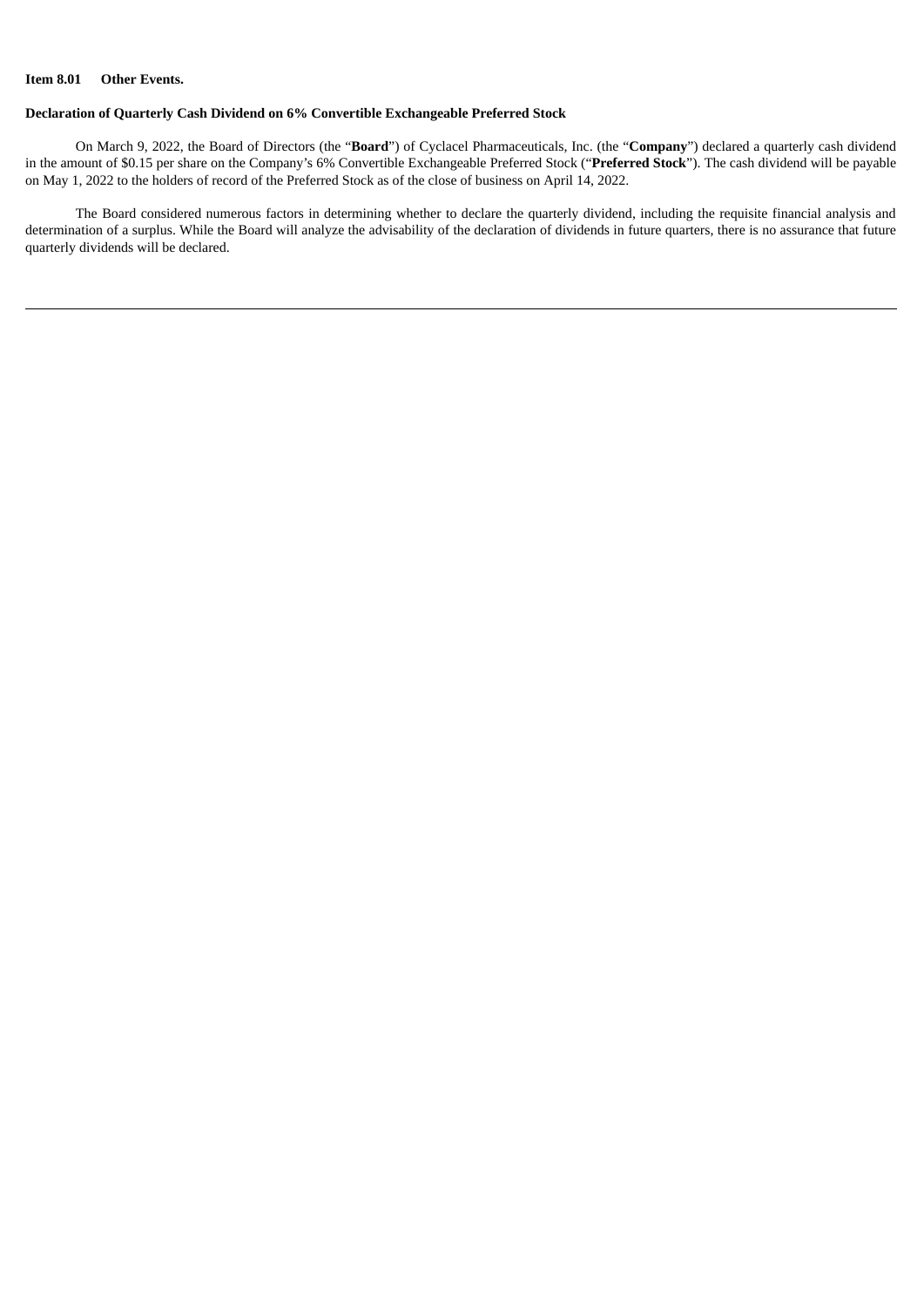## **Item 8.01 Other Events.**

### **Declaration of Quarterly Cash Dividend on 6% Convertible Exchangeable Preferred Stock**

On March 9, 2022, the Board of Directors (the "**Board**") of Cyclacel Pharmaceuticals, Inc. (the "**Company**") declared a quarterly cash dividend in the amount of \$0.15 per share on the Company's 6% Convertible Exchangeable Preferred Stock ("**Preferred Stock**"). The cash dividend will be payable on May 1, 2022 to the holders of record of the Preferred Stock as of the close of business on April 14, 2022.

The Board considered numerous factors in determining whether to declare the quarterly dividend, including the requisite financial analysis and determination of a surplus. While the Board will analyze the advisability of the declaration of dividends in future quarters, there is no assurance that future quarterly dividends will be declared.